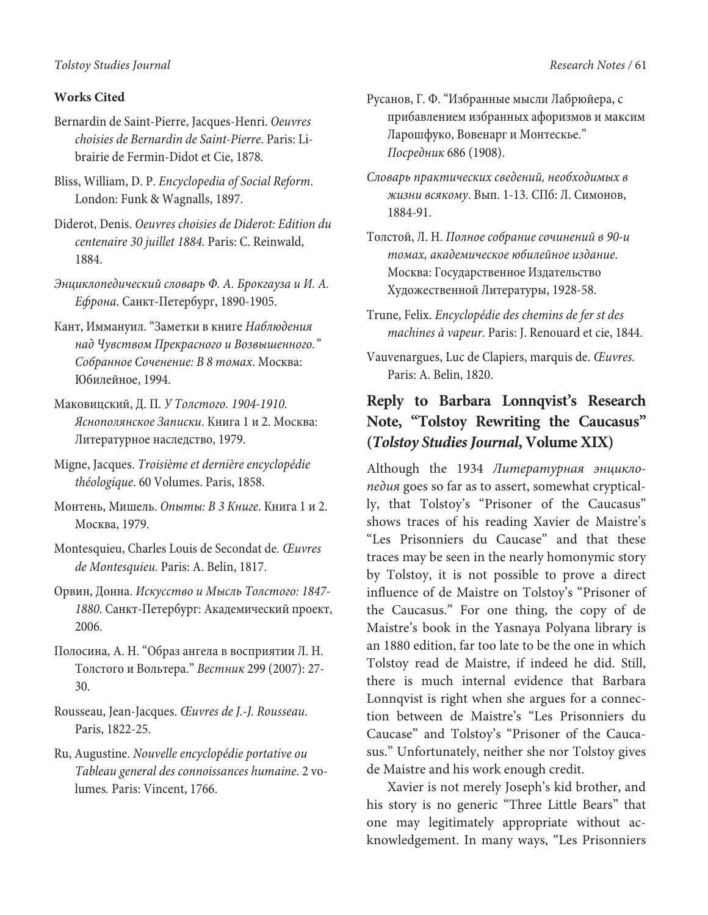## **Works Cited**

- Bernardin de Saint-Pierre, Jacques-Henri. Oeuvres choisies de Bernardin de Saint-Pierre. Paris: Librairie de Fermin-Didot et Cie, 1878.
- Bliss, William, D. P. Encyclopedia of Social Reform. London: Funk & Wagnalls, 1897.
- Diderot, Denis. Oeuvres choisies de Diderot: Edition du centenaire 30 juillet 1884. Paris: C. Reinwald, 1884.
- Энциклопедический словарь Ф. А. Брокгаузa и И. А. Ефронa. Санкт-Петербург, 1890-1905.
- Кант, Иммануил. "Заметки в книге Наблюдения над Чувством Прекрасного и Возвышенного." Собранное Соченение: В 8 томах. Москва: Юбилейное, 1994.
- Маковицский, Д. П. У Толстого. 1904-1910. Яснополянское Записки. Книга 1 и 2. Москва: Литературное наследство, 1979.
- Migne, Jacques. Troisième et dernière encyclopédie théologique. 60 Volumes. Paris, 1858.
- Монтень, Мишель. Опыты: В 3 Книге. Книга 1 и 2. Москва, 1979.
- Montesquieu, Charles Louis de Secondat de. Œuvres de Montesquieu. Paris: A. Belin, 1817.
- Орвин, Донна. Искусство и Мысль Толстого: 1847- 1880. Санкт-Петербург: Академический проект, 2006.
- Полосина, А. Н. "Образ ангела в восприятии Л. Н. Толстого и Вольтера." Вестник 299 (2007): 27- 30.
- Rousseau, Jean-Jacques. Œuvres de J.-J. Rousseau. Paris, 1822-25.
- Ru, Augustine. Nouvelle encyclopédie portative ou Tableau general des connoissances humaine. 2 volumes. Paris: Vincent, 1766.
- Русанов, Г. Ф. "Избранные мысли Лабрюйера, с прибавлением избранных афоризмов и максим Ларошфуко, Вовенарг и Монтескье." Посредник 686 (1908).
- Словарь практических сведений, необходимых в жизни всякому. Вып. 1-13. СПб: Л. Симонов, 1884-91.
- Толстой, Л. Н. Полное собрание сочинений в 90-и томах, академическое юбилейное издание. Москва: Государственное Издательство Художественной Литературы, 1928-58.
- Trune, Felix. Encyclopédie des chemins de fer st des machines à vapeur. Paris: J. Renouard et cie, 1844.
- Vauvenargues, Luc de Clapiers, marquis de. Œuvres. Paris: A. Belin, 1820.

## **Reply to Barbara Lonnqvist's Research Note, "Tolstoy Rewriting the Caucasus" (Tolstoy Studies Journal, Volume XIX)**

Although the 1934 Литературная энциклопедия goes so far as to assert, somewhat cryptically, that Tolstoy's "Prisoner of the Caucasus" shows traces of his reading Xavier de Maistre's "Les Prisonniers du Caucase" and that these traces may be seen in the nearly homonymic story by Tolstoy, it is not possible to prove a direct influence of de Maistre on Tolstoy's "Prisoner of the Caucasus." For one thing, the copy of de Maistre's book in the Yasnaya Polyana library is an 1880 edition, far too late to be the one in which Tolstoy read de Maistre, if indeed he did. Still, there is much internal evidence that Barbara Lonnqvist is right when she argues for a connection between de Maistre's "Les Prisonniers du Caucase" and Tolstoy's "Prisoner of the Caucasus." Unfortunately, neither she nor Tolstoy gives de Maistre and his work enough credit.

Xavier is not merely Joseph's kid brother, and his story is no generic "Three Little Bears" that one may legitimately appropriate without acknowledgement. In many ways, "Les Prisonniers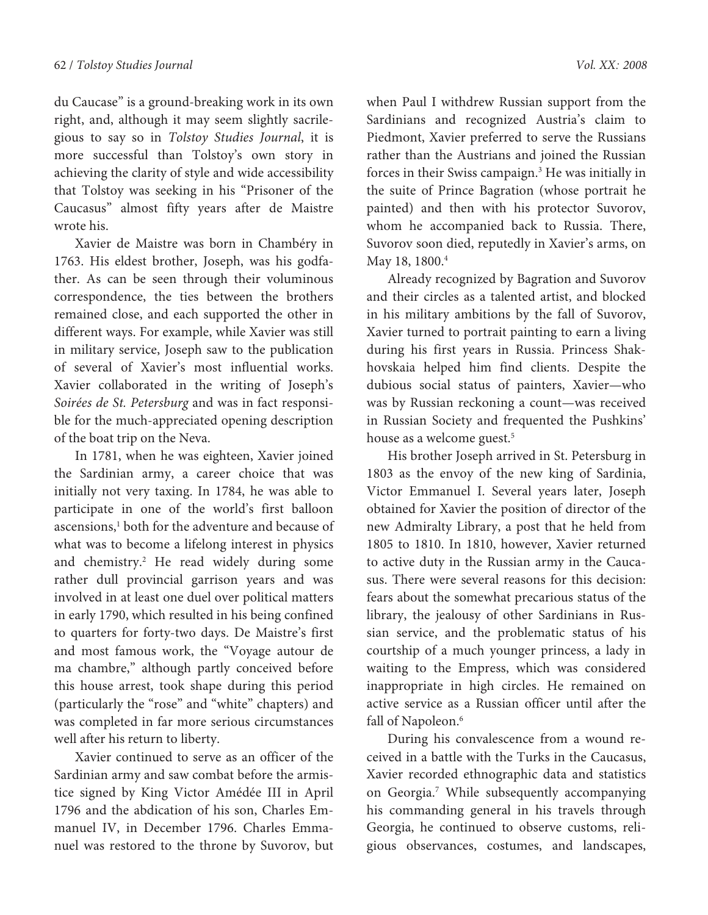du Caucase" is a ground-breaking work in its own right, and, although it may seem slightly sacrilegious to say so in Tolstoy Studies Journal, it is more successful than Tolstoy's own story in achieving the clarity of style and wide accessibility that Tolstoy was seeking in his "Prisoner of the Caucasus" almost fifty years after de Maistre wrote his.

Xavier de Maistre was born in Chambéry in 1763. His eldest brother, Joseph, was his godfather. As can be seen through their voluminous correspondence, the ties between the brothers remained close, and each supported the other in different ways. For example, while Xavier was still in military service, Joseph saw to the publication of several of Xavier's most influential works. Xavier collaborated in the writing of Joseph's Soirées de St. Petersburg and was in fact responsible for the much-appreciated opening description of the boat trip on the Neva.

In 1781, when he was eighteen, Xavier joined the Sardinian army, a career choice that was initially not very taxing. In 1784, he was able to participate in one of the world's first balloon ascensions,<sup>1</sup> both for the adventure and because of what was to become a lifelong interest in physics and chemistry.<sup>2</sup> He read widely during some rather dull provincial garrison years and was involved in at least one duel over political matters in early 1790, which resulted in his being confined to quarters for forty-two days. De Maistre's first and most famous work, the "Voyage autour de ma chambre," although partly conceived before this house arrest, took shape during this period (particularly the "rose" and "white" chapters) and was completed in far more serious circumstances well after his return to liberty.

Xavier continued to serve as an officer of the Sardinian army and saw combat before the armistice signed by King Victor Amédée III in April 1796 and the abdication of his son, Charles Emmanuel IV, in December 1796. Charles Emmanuel was restored to the throne by Suvorov, but when Paul I withdrew Russian support from the Sardinians and recognized Austria's claim to Piedmont, Xavier preferred to serve the Russians rather than the Austrians and joined the Russian forces in their Swiss campaign.<sup>3</sup> He was initially in the suite of Prince Bagration (whose portrait he painted) and then with his protector Suvorov, whom he accompanied back to Russia. There, Suvorov soon died, reputedly in Xavier's arms, on May 18, 1800.<sup>4</sup>

Already recognized by Bagration and Suvorov and their circles as a talented artist, and blocked in his military ambitions by the fall of Suvorov, Xavier turned to portrait painting to earn a living during his first years in Russia. Princess Shakhovskaia helped him find clients. Despite the dubious social status of painters, Xavier—who was by Russian reckoning a count—was received in Russian Society and frequented the Pushkins' house as a welcome guest.<sup>5</sup>

His brother Joseph arrived in St. Petersburg in 1803 as the envoy of the new king of Sardinia, Victor Emmanuel I. Several years later, Joseph obtained for Xavier the position of director of the new Admiralty Library, a post that he held from 1805 to 1810. In 1810, however, Xavier returned to active duty in the Russian army in the Caucasus. There were several reasons for this decision: fears about the somewhat precarious status of the library, the jealousy of other Sardinians in Russian service, and the problematic status of his courtship of a much younger princess, a lady in waiting to the Empress, which was considered inappropriate in high circles. He remained on active service as a Russian officer until after the fall of Napoleon.<sup>6</sup>

During his convalescence from a wound received in a battle with the Turks in the Caucasus, Xavier recorded ethnographic data and statistics on Georgia.<sup>7</sup> While subsequently accompanying his commanding general in his travels through Georgia, he continued to observe customs, religious observances, costumes, and landscapes,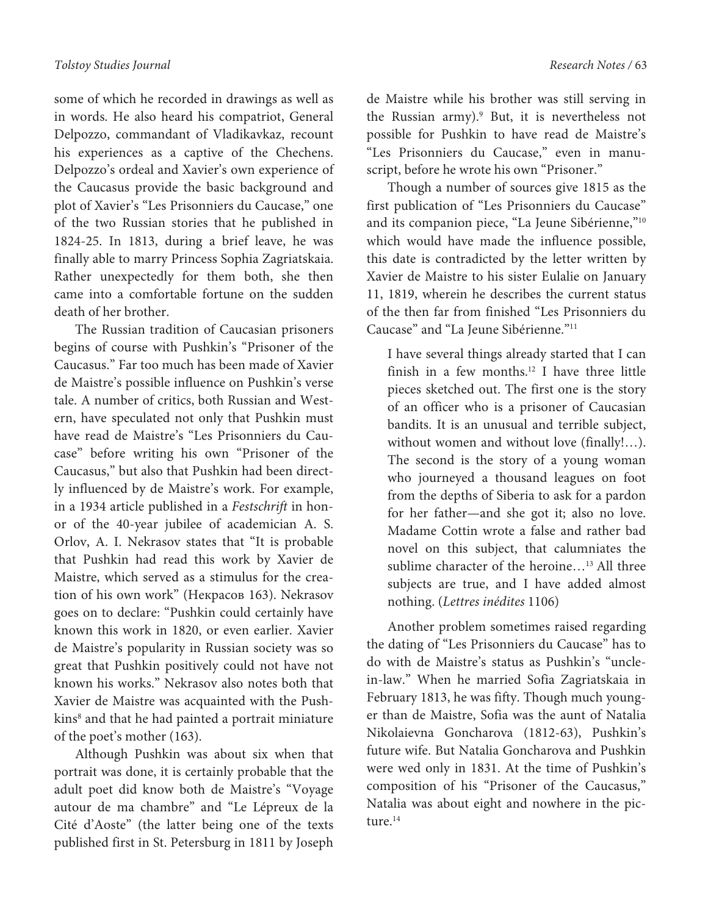some of which he recorded in drawings as well as in words. He also heard his compatriot, General Delpozzo, commandant of Vladikavkaz, recount his experiences as a captive of the Chechens. Delpozzo's ordeal and Xavier's own experience of the Caucasus provide the basic background and plot of Xavier's "Les Prisonniers du Caucase," one of the two Russian stories that he published in 1824-25. In 1813, during a brief leave, he was finally able to marry Princess Sophia Zagriatskaia. Rather unexpectedly for them both, she then came into a comfortable fortune on the sudden death of her brother.

The Russian tradition of Caucasian prisoners begins of course with Pushkin's "Prisoner of the Caucasus." Far too much has been made of Xavier de Maistre's possible influence on Pushkin's verse tale. A number of critics, both Russian and Western, have speculated not only that Pushkin must have read de Maistre's "Les Prisonniers du Caucase" before writing his own "Prisoner of the Caucasus," but also that Pushkin had been directly influenced by de Maistre's work. For example, in a 1934 article published in a Festschrift in honor of the 40-year jubilee of academician A. S. Orlov, A. I. Nekrasov states that "It is probable that Pushkin had read this work by Xavier de Maistre, which served as a stimulus for the creation of his own work" (Некрасов 163). Nekrasov goes on to declare: "Pushkin could certainly have known this work in 1820, or even earlier. Xavier de Maistre's popularity in Russian society was so great that Pushkin positively could not have not known his works." Nekrasov also notes both that Xavier de Maistre was acquainted with the Pushkins<sup>8</sup> and that he had painted a portrait miniature of the poet's mother (163).

Although Pushkin was about six when that portrait was done, it is certainly probable that the adult poet did know both de Maistre's "Voyage autour de ma chambre" and "Le Lépreux de la Cité d'Aoste" (the latter being one of the texts published first in St. Petersburg in 1811 by Joseph

de Maistre while his brother was still serving in the Russian army).<sup>9</sup> But, it is nevertheless not possible for Pushkin to have read de Maistre's "Les Prisonniers du Caucase," even in manuscript, before he wrote his own "Prisoner."

Though a number of sources give 1815 as the first publication of "Les Prisonniers du Caucase" and its companion piece, "La Jeune Sibérienne,"<sup>10</sup> which would have made the influence possible, this date is contradicted by the letter written by Xavier de Maistre to his sister Eulalie on January 11, 1819, wherein he describes the current status of the then far from finished "Les Prisonniers du Caucase" and "La Jeune Sibérienne."<sup>11</sup>

I have several things already started that I can finish in a few months.<sup>12</sup> I have three little pieces sketched out. The first one is the story of an officer who is a prisoner of Caucasian bandits. It is an unusual and terrible subject, without women and without love (finally!…). The second is the story of a young woman who journeyed a thousand leagues on foot from the depths of Siberia to ask for a pardon for her father—and she got it; also no love. Madame Cottin wrote a false and rather bad novel on this subject, that calumniates the sublime character of the heroine...<sup>13</sup> All three subjects are true, and I have added almost nothing. (Lettres inédites 1106)

Another problem sometimes raised regarding the dating of "Les Prisonniers du Caucase" has to do with de Maistre's status as Pushkin's "unclein-law." When he married Sofia Zagriatskaia in February 1813, he was fifty. Though much younger than de Maistre, Sofia was the aunt of Natalia Nikolaievna Goncharova (1812-63), Pushkin's future wife. But Natalia Goncharova and Pushkin were wed only in 1831. At the time of Pushkin's composition of his "Prisoner of the Caucasus," Natalia was about eight and nowhere in the picture.<sup>14</sup>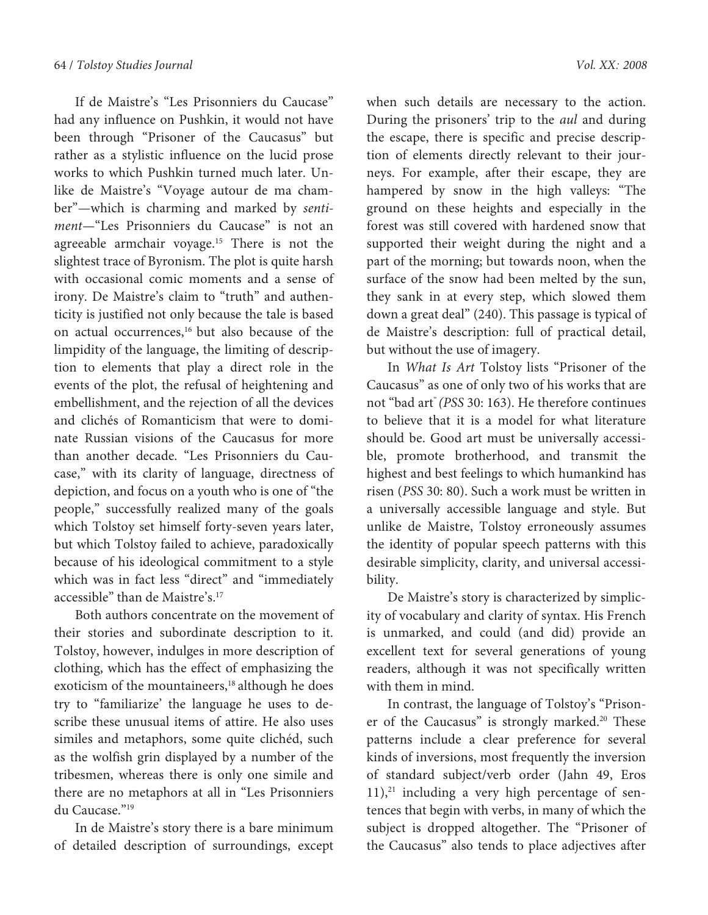If de Maistre's "Les Prisonniers du Caucase" had any influence on Pushkin, it would not have been through "Prisoner of the Caucasus" but rather as a stylistic influence on the lucid prose works to which Pushkin turned much later. Unlike de Maistre's "Voyage autour de ma chamber"—which is charming and marked by sentiment—"Les Prisonniers du Caucase" is not an agreeable armchair voyage.<sup>15</sup> There is not the slightest trace of Byronism. The plot is quite harsh with occasional comic moments and a sense of irony. De Maistre's claim to "truth" and authenticity is justified not only because the tale is based on actual occurrences,<sup>16</sup> but also because of the limpidity of the language, the limiting of description to elements that play a direct role in the events of the plot, the refusal of heightening and embellishment, and the rejection of all the devices and clichés of Romanticism that were to dominate Russian visions of the Caucasus for more than another decade. "Les Prisonniers du Caucase," with its clarity of language, directness of depiction, and focus on a youth who is one of "the people," successfully realized many of the goals which Tolstoy set himself forty-seven years later, but which Tolstoy failed to achieve, paradoxically because of his ideological commitment to a style which was in fact less "direct" and "immediately accessible" than de Maistre's.<sup>17</sup>

Both authors concentrate on the movement of their stories and subordinate description to it. Tolstoy, however, indulges in more description of clothing, which has the effect of emphasizing the exoticism of the mountaineers,<sup>18</sup> although he does try to "familiarize' the language he uses to describe these unusual items of attire. He also uses similes and metaphors, some quite clichéd, such as the wolfish grin displayed by a number of the tribesmen, whereas there is only one simile and there are no metaphors at all in "Les Prisonniers du Caucase."<sup>19</sup>

In de Maistre's story there is a bare minimum of detailed description of surroundings, except

when such details are necessary to the action. During the prisoners' trip to the aul and during the escape, there is specific and precise description of elements directly relevant to their journeys. For example, after their escape, they are hampered by snow in the high valleys: "The ground on these heights and especially in the forest was still covered with hardened snow that supported their weight during the night and a part of the morning; but towards noon, when the surface of the snow had been melted by the sun, they sank in at every step, which slowed them down a great deal" (240). This passage is typical of de Maistre's description: full of practical detail, but without the use of imagery.

In What Is Art Tolstoy lists "Prisoner of the Caucasus" as one of only two of his works that are not "bad art" (PSS 30: 163). He therefore continues to believe that it is a model for what literature should be. Good art must be universally accessible, promote brotherhood, and transmit the highest and best feelings to which humankind has risen (PSS 30: 80). Such a work must be written in a universally accessible language and style. But unlike de Maistre, Tolstoy erroneously assumes the identity of popular speech patterns with this desirable simplicity, clarity, and universal accessibility.

De Maistre's story is characterized by simplicity of vocabulary and clarity of syntax. His French is unmarked, and could (and did) provide an excellent text for several generations of young readers, although it was not specifically written with them in mind.

In contrast, the language of Tolstoy's "Prisoner of the Caucasus" is strongly marked.<sup>20</sup> These patterns include a clear preference for several kinds of inversions, most frequently the inversion of standard subject/verb order (Jahn 49, Eros  $11$ ), $^{21}$  including a very high percentage of sentences that begin with verbs, in many of which the subject is dropped altogether. The "Prisoner of the Caucasus" also tends to place adjectives after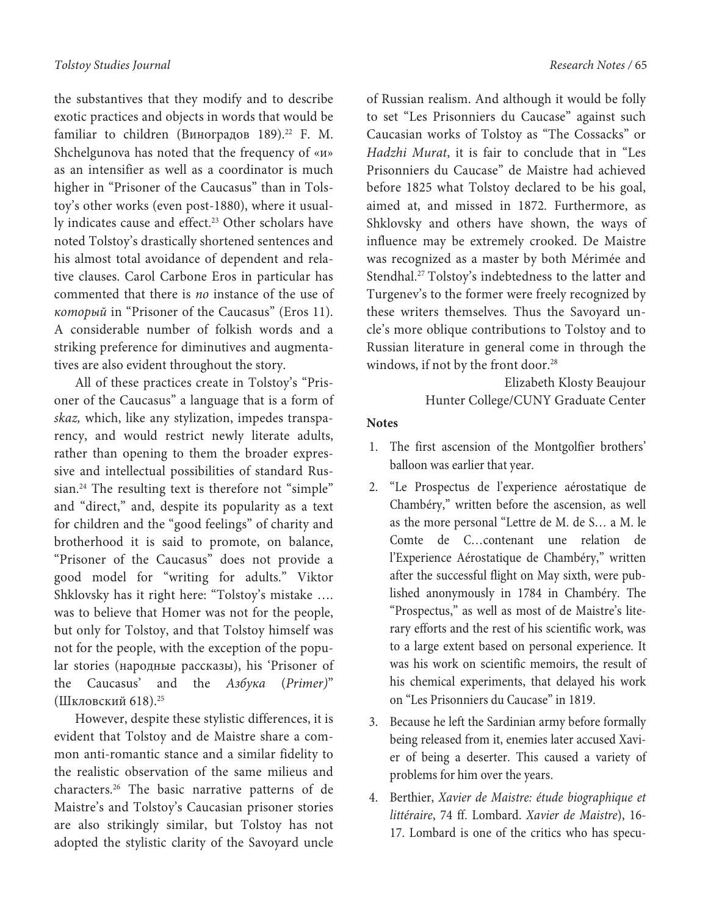the substantives that they modify and to describe exotic practices and objects in words that would be familiar to children (Виноградов 189).<sup>22</sup> F. M. Shchelgunova has noted that the frequency of «и» as an intensifier as well as a coordinator is much higher in "Prisoner of the Caucasus" than in Tolstoy's other works (even post-1880), where it usually indicates cause and effect.<sup>23</sup> Other scholars have noted Tolstoy's drastically shortened sentences and his almost total avoidance of dependent and relative clauses. Carol Carbone Eros in particular has commented that there is no instance of the use of который in "Prisoner of the Caucasus" (Eros 11). A considerable number of folkish words and a striking preference for diminutives and augmentatives are also evident throughout the story.

All of these practices create in Tolstoy's "Prisoner of the Caucasus" a language that is a form of skaz, which, like any stylization, impedes transparency, and would restrict newly literate adults, rather than opening to them the broader expressive and intellectual possibilities of standard Russian.<sup>24</sup> The resulting text is therefore not "simple" and "direct," and, despite its popularity as a text for children and the "good feelings" of charity and brotherhood it is said to promote, on balance, "Prisoner of the Caucasus" does not provide a good model for "writing for adults." Viktor Shklovsky has it right here: "Tolstoy's mistake …. was to believe that Homer was not for the people, but only for Tolstoy, and that Tolstoy himself was not for the people, with the exception of the popular stories (народные рассказы), his 'Prisoner of the Caucasus' and the Азбука (Primer)" (Шкловский 618).<sup>25</sup>

However, despite these stylistic differences, it is evident that Tolstoy and de Maistre share a common anti-romantic stance and a similar fidelity to the realistic observation of the same milieus and characters.<sup>26</sup> The basic narrative patterns of de Maistre's and Tolstoy's Caucasian prisoner stories are also strikingly similar, but Tolstoy has not adopted the stylistic clarity of the Savoyard uncle

of Russian realism. And although it would be folly to set "Les Prisonniers du Caucase" against such Caucasian works of Tolstoy as "The Cossacks" or Hadzhi Murat, it is fair to conclude that in "Les Prisonniers du Caucase" de Maistre had achieved before 1825 what Tolstoy declared to be his goal, aimed at, and missed in 1872. Furthermore, as Shklovsky and others have shown, the ways of influence may be extremely crooked. De Maistre was recognized as a master by both Mérimée and Stendhal.<sup>27</sup> Tolstoy's indebtedness to the latter and Turgenev's to the former were freely recognized by these writers themselves. Thus the Savoyard uncle's more oblique contributions to Tolstoy and to Russian literature in general come in through the windows, if not by the front door.<sup>28</sup>

> Elizabeth Klosty Beaujour Hunter College/CUNY Graduate Center

## **Notes**

- 1. The first ascension of the Montgolfier brothers' balloon was earlier that year.
- 2. "Le Prospectus de l'experience aérostatique de Chambéry," written before the ascension, as well as the more personal "Lettre de M. de S… a M. le Comte de C…contenant une relation de l'Experience Aérostatique de Chambéry," written after the successful flight on May sixth, were published anonymously in 1784 in Chambéry. The "Prospectus," as well as most of de Maistre's literary efforts and the rest of his scientific work, was to a large extent based on personal experience. It was his work on scientific memoirs, the result of his chemical experiments, that delayed his work on "Les Prisonniers du Caucase" in 1819.
- 3. Because he left the Sardinian army before formally being released from it, enemies later accused Xavier of being a deserter. This caused a variety of problems for him over the years.
- 4. Berthier, Xavier de Maistre: étude biographique et littéraire, 74 ff. Lombard. Xavier de Maistre), 16- 17. Lombard is one of the critics who has specu-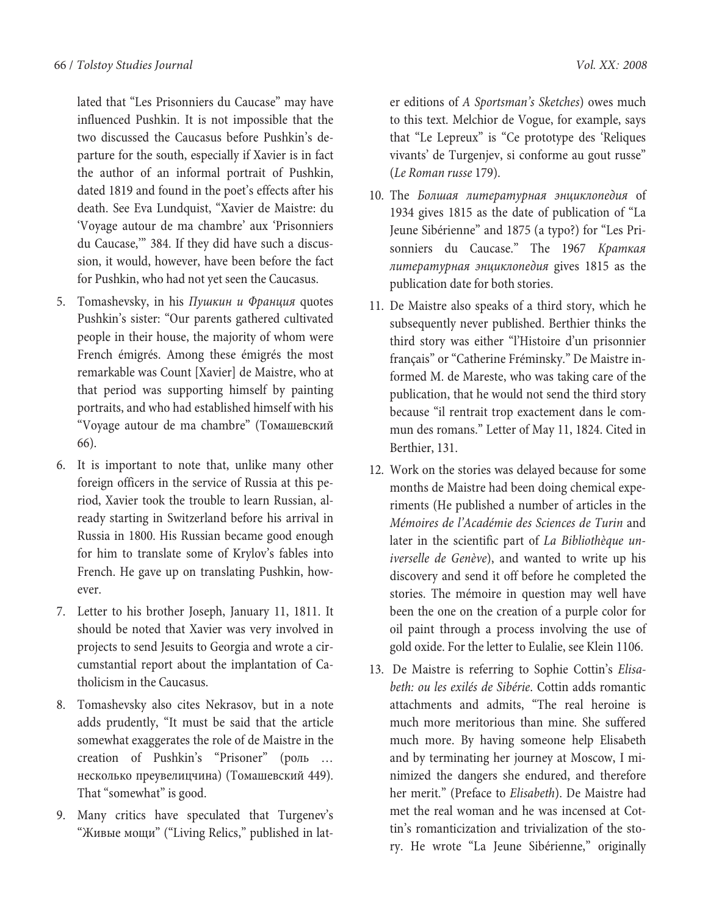lated that "Les Prisonniers du Caucase" may have influenced Pushkin. It is not impossible that the two discussed the Caucasus before Pushkin's departure for the south, especially if Xavier is in fact the author of an informal portrait of Pushkin, dated 1819 and found in the poet's effects after his death. See Eva Lundquist, "Xavier de Maistre: du 'Voyage autour de ma chambre' aux 'Prisonniers du Caucase,'" 384. If they did have such a discussion, it would, however, have been before the fact for Pushkin, who had not yet seen the Caucasus.

- 5. Tomashevsky, in his Пушкин и Франция quotes Pushkin's sister: "Our parents gathered cultivated people in their house, the majority of whom were French émigrés. Among these émigrés the most remarkable was Count [Xavier] de Maistre, who at that period was supporting himself by painting portraits, and who had established himself with his "Voyage autour de ma chambre" (Томашевский 66).
- 6. It is important to note that, unlike many other foreign officers in the service of Russia at this period, Xavier took the trouble to learn Russian, already starting in Switzerland before his arrival in Russia in 1800. His Russian became good enough for him to translate some of Krylov's fables into French. He gave up on translating Pushkin, however.
- 7. Letter to his brother Joseph, January 11, 1811. It should be noted that Xavier was very involved in projects to send Jesuits to Georgia and wrote a circumstantial report about the implantation of Catholicism in the Caucasus.
- 8. Tomashevsky also cites Nekrasov, but in a note adds prudently, "It must be said that the article somewhat exaggerates the role of de Maistre in the creation of Pushkin's "Prisoner" (роль … несколько преувелицчина) (Томашевский 449). That "somewhat" is good.
- 9. Many critics have speculated that Turgenev's "Живые мощи" ("Living Relics," published in lat-

er editions of A Sportsman's Sketches) owes much to this text. Melchior de Vogue, for example, says that "Le Lepreux" is "Ce prototype des 'Reliques vivants' de Turgenjev, si conforme au gout russe" (Le Roman russe 179).

- 10. The Болшая литературная энциклопедия of 1934 gives 1815 as the date of publication of "La Jeune Sibérienne" and 1875 (a typo?) for "Les Prisonniers du Caucase." The 1967 Краткая литературная энциклопедия gives 1815 as the publication date for both stories.
- 11. De Maistre also speaks of a third story, which he subsequently never published. Berthier thinks the third story was either "l'Histoire d'un prisonnier français" or "Catherine Fréminsky." De Maistre informed M. de Mareste, who was taking care of the publication, that he would not send the third story because "il rentrait trop exactement dans le commun des romans." Letter of May 11, 1824. Cited in Berthier, 131.
- 12. Work on the stories was delayed because for some months de Maistre had been doing chemical experiments (He published a number of articles in the Mémoires de l'Académie des Sciences de Turin and later in the scientific part of La Bibliothèque universelle de Genève), and wanted to write up his discovery and send it off before he completed the stories. The mémoire in question may well have been the one on the creation of a purple color for oil paint through a process involving the use of gold oxide. For the letter to Eulalie, see Klein 1106.
- 13. De Maistre is referring to Sophie Cottin's Elisabeth: ou les exilés de Sibérie. Cottin adds romantic attachments and admits, "The real heroine is much more meritorious than mine. She suffered much more. By having someone help Elisabeth and by terminating her journey at Moscow, I minimized the dangers she endured, and therefore her merit." (Preface to Elisabeth). De Maistre had met the real woman and he was incensed at Cottin's romanticization and trivialization of the story. He wrote "La Jeune Sibérienne," originally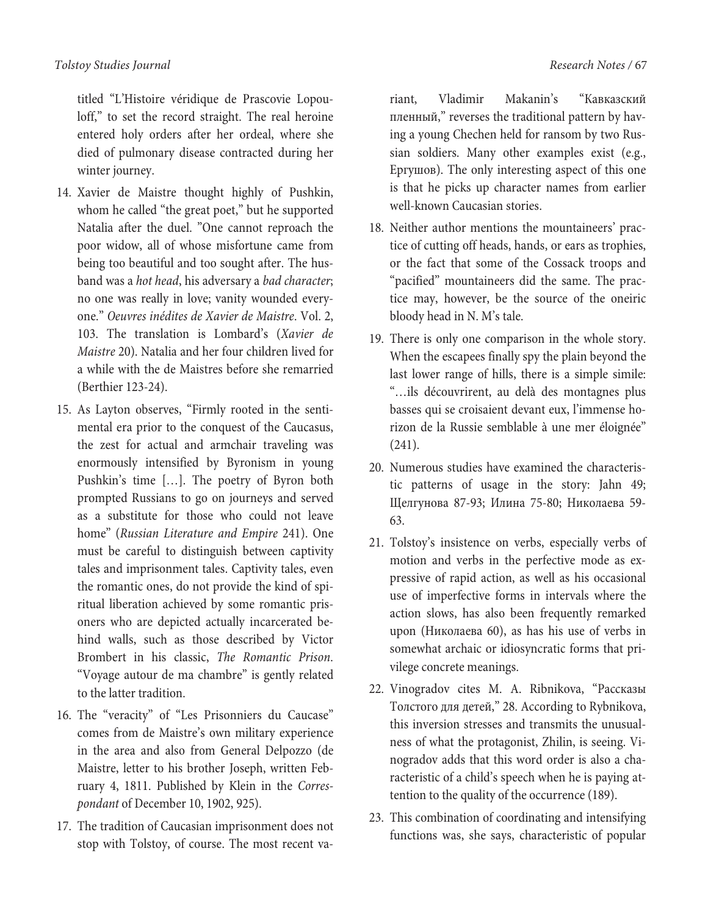titled "L'Histoire véridique de Prascovie Lopouloff," to set the record straight. The real heroine entered holy orders after her ordeal, where she died of pulmonary disease contracted during her winter journey.

- 14. Xavier de Maistre thought highly of Pushkin, whom he called "the great poet," but he supported Natalia after the duel. "One cannot reproach the poor widow, all of whose misfortune came from being too beautiful and too sought after. The husband was a hot head, his adversary a bad character; no one was really in love; vanity wounded everyone." Oeuvres inédites de Xavier de Maistre. Vol. 2, 103. The translation is Lombard's (Xavier de Maistre 20). Natalia and her four children lived for a while with the de Maistres before she remarried (Berthier 123-24).
- 15. As Layton observes, "Firmly rooted in the sentimental era prior to the conquest of the Caucasus, the zest for actual and armchair traveling was enormously intensified by Byronism in young Pushkin's time […]. The poetry of Byron both prompted Russians to go on journeys and served as a substitute for those who could not leave home" (Russian Literature and Empire 241). One must be careful to distinguish between captivity tales and imprisonment tales. Captivity tales, even the romantic ones, do not provide the kind of spiritual liberation achieved by some romantic prisoners who are depicted actually incarcerated behind walls, such as those described by Victor Brombert in his classic, The Romantic Prison. "Voyage autour de ma chambre" is gently related to the latter tradition.
- 16. The "veracity" of "Les Prisonniers du Caucase" comes from de Maistre's own military experience in the area and also from General Delpozzo (de Maistre, letter to his brother Joseph, written February 4, 1811. Published by Klein in the Correspondant of December 10, 1902, 925).
- 17. The tradition of Caucasian imprisonment does not stop with Tolstoy, of course. The most recent va-

riant, Vladimir Makanin's "Кавказский пленный," reverses the traditional pattern by having a young Chechen held for ransom by two Russian soldiers. Many other examples exist (e.g., Ергушов). The only interesting aspect of this one is that he picks up character names from earlier well-known Caucasian stories.

- 18. Neither author mentions the mountaineers' practice of cutting off heads, hands, or ears as trophies, or the fact that some of the Cossack troops and "pacified" mountaineers did the same. The practice may, however, be the source of the oneiric bloody head in N. M's tale.
- 19. There is only one comparison in the whole story. When the escapees finally spy the plain beyond the last lower range of hills, there is a simple simile: "…ils découvrirent, au delà des montagnes plus basses qui se croisaient devant eux, l'immense horizon de la Russie semblable à une mer éloignée" (241).
- 20. Numerous studies have examined the characteristic patterns of usage in the story: Jahn 49; Щелгунова 87-93; Илина 75-80; Николаева 59- 63.
- 21. Tolstoy's insistence on verbs, especially verbs of motion and verbs in the perfective mode as expressive of rapid action, as well as his occasional use of imperfective forms in intervals where the action slows, has also been frequently remarked upon (Николаева 60), as has his use of verbs in somewhat archaic or idiosyncratic forms that privilege concrete meanings.
- 22. Vinogradov cites M. A. Ribnikova, "Рассказы Толстого для детей," 28. According to Rybnikova, this inversion stresses and transmits the unusualness of what the protagonist, Zhilin, is seeing. Vinogradov adds that this word order is also a characteristic of a child's speech when he is paying attention to the quality of the occurrence (189).
- 23. This combination of coordinating and intensifying functions was, she says, characteristic of popular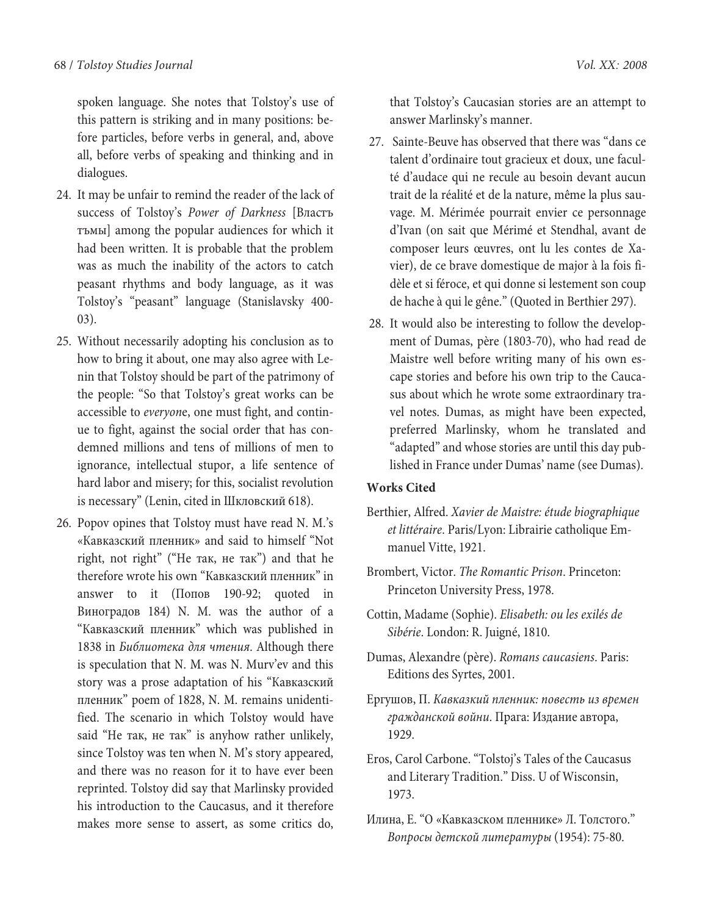spoken language. She notes that Tolstoy's use of this pattern is striking and in many positions: before particles, before verbs in general, and, above all, before verbs of speaking and thinking and in dialogues.

- 24. It may be unfair to remind the reader of the lack of success of Tolstoy's Power of Darkness [Властъ тъмы] among the popular audiences for which it had been written. It is probable that the problem was as much the inability of the actors to catch peasant rhythms and body language, as it was Tolstoy's "peasant" language (Stanislavsky 400- 03).
- 25. Without necessarily adopting his conclusion as to how to bring it about, one may also agree with Lenin that Tolstoy should be part of the patrimony of the people: "So that Tolstoy's great works can be accessible to everyone, one must fight, and continue to fight, against the social order that has condemned millions and tens of millions of men to ignorance, intellectual stupor, a life sentence of hard labor and misery; for this, socialist revolution is necessary" (Lenin, cited in Шкловский 618).
- 26. Popov opines that Tolstoy must have read N. M.'s «Кавказский пленник» and said to himself "Not right, not right" ("Не так, не так") and that he therefore wrote his own "Кавказский пленник" in answer to it (Попов 190-92; quoted in Виноградов 184) N. M. was the author of a "Кавказский пленник" which was published in 1838 in Библиотека для чтения. Although there is speculation that N. M. was N. Murv'ev and this story was a prose adaptation of his "Кавказский пленник" poem of 1828, N. M. remains unidentified. The scenario in which Tolstoy would have said "Не так, не так" is anyhow rather unlikely, since Tolstoy was ten when N. M's story appeared, and there was no reason for it to have ever been reprinted. Tolstoy did say that Marlinsky provided his introduction to the Caucasus, and it therefore makes more sense to assert, as some critics do,

that Tolstoy's Caucasian stories are an attempt to answer Marlinsky's manner.

- 27. Sainte-Beuve has observed that there was "dans ce talent d'ordinaire tout gracieux et doux, une faculté d'audace qui ne recule au besoin devant aucun trait de la réalité et de la nature, même la plus sauvage. M. Mérimée pourrait envier ce personnage d'Ivan (on sait que Mérimé et Stendhal, avant de composer leurs œuvres, ont lu les contes de Xavier), de ce brave domestique de major à la fois fidèle et si féroce, et qui donne si lestement son coup de hache à qui le gêne." (Quoted in Berthier 297).
- 28. It would also be interesting to follow the development of Dumas, père (1803-70), who had read de Maistre well before writing many of his own escape stories and before his own trip to the Caucasus about which he wrote some extraordinary travel notes. Dumas, as might have been expected, preferred Marlinsky, whom he translated and "adapted" and whose stories are until this day published in France under Dumas' name (see Dumas).

## **Works Cited**

- Berthier, Alfred. Xavier de Maistre: étude biographique et littéraire. Paris/Lyon: Librairie catholique Emmanuel Vitte, 1921.
- Brombert, Victor. The Romantic Prison. Princeton: Princeton University Press, 1978.
- Cottin, Madame (Sophie). Elisabeth: ou les exilés de Sibérie. London: R. Juigné, 1810.
- Dumas, Alexandre (père). Romans caucasiens. Paris: Editions des Syrtes, 2001.
- Ергушов, П. Кавказкий пленник: повесть из времен гражданской войни. Прага: Издание автора, 1929.
- Eros, Carol Carbone. "Tolstoj's Tales of the Caucasus and Literary Tradition." Diss. U of Wisconsin, 1973.
- Илина, Е. "О «Кавказском пленнике» Л. Толстого." Вопросы детской литературы (1954): 75-80.